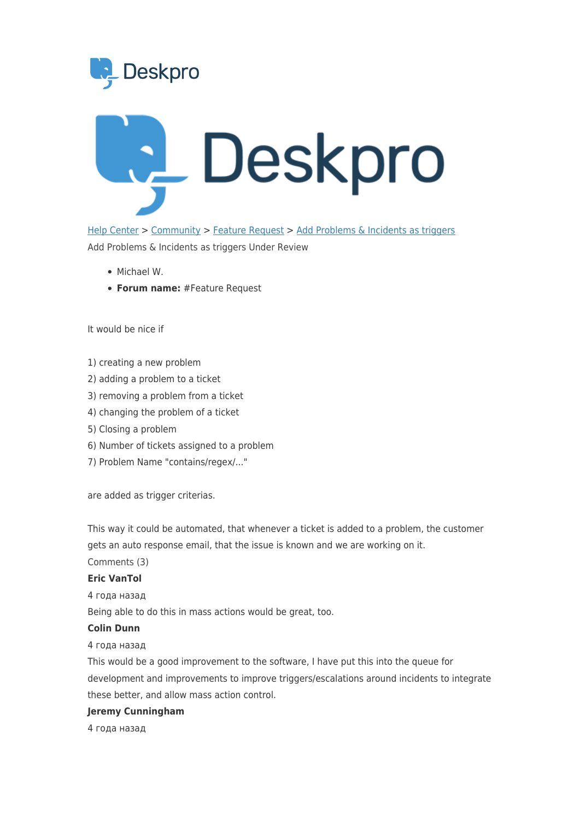



[Help Center](https://support.deskpro.com/ru) > [Community](https://support.deskpro.com/ru/community) > [Feature Request](https://support.deskpro.com/ru/community/browse/type-2/view-list/viewmode-compact) > [Add Problems & Incidents as triggers](https://support.deskpro.com/ru/community/view/add-problems-incidents-as-triggers) Add Problems & Incidents as triggers Under Review

- Michael W.
- **Forum name:** #Feature Request

It would be nice if

- 1) creating a new problem
- 2) adding a problem to a ticket
- 3) removing a problem from a ticket
- 4) changing the problem of a ticket
- 5) Closing a problem
- 6) Number of tickets assigned to a problem
- 7) Problem Name "contains/regex/..."

are added as trigger criterias.

This way it could be automated, that whenever a ticket is added to a problem, the customer gets an auto response email, that the issue is known and we are working on it. Comments (3)

## **Eric VanTol**

4 года назад

Being able to do this in mass actions would be great, too.

## **Colin Dunn**

4 года назад

This would be a good improvement to the software, I have put this into the queue for development and improvements to improve triggers/escalations around incidents to integrate these better, and allow mass action control.

## **Jeremy Cunningham**

4 года назад